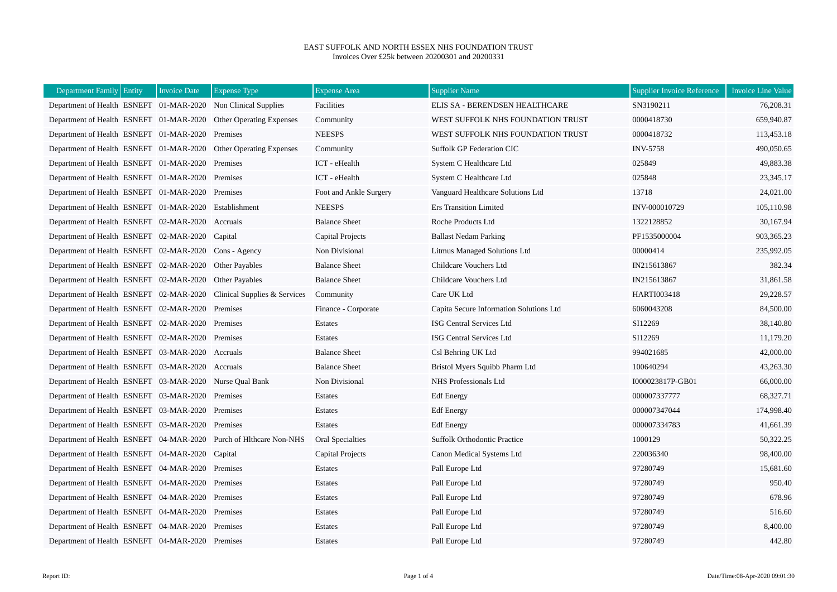## EAST SUFFOLK AND NORTH ESSEX NHS FOUNDATION TRUST Invoices Over £25k between 20200301 and 20200331

| Department Family Entity                                | <b>Invoice Date</b> | <b>Expense Type</b>                                                  | <b>Expense Area</b>    | <b>Supplier Name</b>                    | <b>Supplier Invoice Reference</b> | <b>Invoice Line Value</b> |
|---------------------------------------------------------|---------------------|----------------------------------------------------------------------|------------------------|-----------------------------------------|-----------------------------------|---------------------------|
|                                                         |                     | Department of Health ESNEFT 01-MAR-2020 Non Clinical Supplies        | Facilities             | ELIS SA - BERENDSEN HEALTHCARE          | SN3190211                         | 76,208.31                 |
|                                                         |                     | Department of Health ESNEFT 01-MAR-2020 Other Operating Expenses     | Community              | WEST SUFFOLK NHS FOUNDATION TRUST       | 0000418730                        | 659,940.87                |
| Department of Health ESNEFT 01-MAR-2020 Premises        |                     |                                                                      | <b>NEESPS</b>          | WEST SUFFOLK NHS FOUNDATION TRUST       | 0000418732                        | 113,453.18                |
|                                                         |                     | Department of Health ESNEFT 01-MAR-2020 Other Operating Expenses     | Community              | <b>Suffolk GP Federation CIC</b>        | <b>INV-5758</b>                   | 490,050.65                |
| Department of Health ESNEFT 01-MAR-2020 Premises        |                     |                                                                      | ICT - eHealth          | System C Healthcare Ltd                 | 025849                            | 49,883.38                 |
| Department of Health ESNEFT 01-MAR-2020 Premises        |                     |                                                                      | ICT - eHealth          | System C Healthcare Ltd                 | 025848                            | 23,345.17                 |
| Department of Health ESNEFT 01-MAR-2020 Premises        |                     |                                                                      | Foot and Ankle Surgery | Vanguard Healthcare Solutions Ltd       | 13718                             | 24,021.00                 |
| Department of Health ESNEFT 01-MAR-2020 Establishment   |                     |                                                                      | <b>NEESPS</b>          | <b>Ers Transition Limited</b>           | INV-000010729                     | 105,110.98                |
| Department of Health ESNEFT 02-MAR-2020 Accruals        |                     |                                                                      | <b>Balance Sheet</b>   | Roche Products Ltd                      | 1322128852                        | 30,167.94                 |
| Department of Health ESNEFT 02-MAR-2020 Capital         |                     |                                                                      | Capital Projects       | <b>Ballast Nedam Parking</b>            | PF1535000004                      | 903.365.23                |
| Department of Health ESNEFT 02-MAR-2020 Cons - Agency   |                     |                                                                      | Non Divisional         | Litmus Managed Solutions Ltd            | 00000414                          | 235,992.05                |
| Department of Health ESNEFT 02-MAR-2020 Other Payables  |                     |                                                                      | <b>Balance Sheet</b>   | Childcare Vouchers Ltd                  | IN215613867                       | 382.34                    |
| Department of Health ESNEFT 02-MAR-2020 Other Payables  |                     |                                                                      | <b>Balance Sheet</b>   | Childcare Vouchers Ltd                  | IN215613867                       | 31,861.58                 |
|                                                         |                     | Department of Health ESNEFT 02-MAR-2020 Clinical Supplies & Services | Community              | Care UK Ltd                             | <b>HARTI003418</b>                | 29,228.57                 |
| Department of Health ESNEFT 02-MAR-2020 Premises        |                     |                                                                      | Finance - Corporate    | Capita Secure Information Solutions Ltd | 6060043208                        | 84,500.00                 |
| Department of Health ESNEFT 02-MAR-2020 Premises        |                     |                                                                      | Estates                | ISG Central Services Ltd                | SI12269                           | 38,140.80                 |
| Department of Health ESNEFT 02-MAR-2020 Premises        |                     |                                                                      | Estates                | ISG Central Services Ltd                | SI12269                           | 11,179.20                 |
| Department of Health ESNEFT 03-MAR-2020 Accruals        |                     |                                                                      | <b>Balance Sheet</b>   | Csl Behring UK Ltd                      | 994021685                         | 42,000.00                 |
| Department of Health ESNEFT 03-MAR-2020 Accruals        |                     |                                                                      | <b>Balance Sheet</b>   | Bristol Myers Squibb Pharm Ltd          | 100640294                         | 43,263.30                 |
| Department of Health ESNEFT 03-MAR-2020 Nurse Qual Bank |                     |                                                                      | Non Divisional         | NHS Professionals Ltd                   | I000023817P-GB01                  | 66,000.00                 |
| Department of Health ESNEFT 03-MAR-2020 Premises        |                     |                                                                      | Estates                | <b>Edf</b> Energy                       | 000007337777                      | 68,327.71                 |
| Department of Health ESNEFT 03-MAR-2020 Premises        |                     |                                                                      | Estates                | <b>Edf</b> Energy                       | 000007347044                      | 174,998.40                |
| Department of Health ESNEFT 03-MAR-2020 Premises        |                     |                                                                      | Estates                | <b>Edf</b> Energy                       | 000007334783                      | 41,661.39                 |
|                                                         |                     | Department of Health ESNEFT 04-MAR-2020 Purch of Hithcare Non-NHS    | Oral Specialties       | <b>Suffolk Orthodontic Practice</b>     | 1000129                           | 50,322.25                 |
| Department of Health ESNEFT 04-MAR-2020 Capital         |                     |                                                                      | Capital Projects       | Canon Medical Systems Ltd               | 220036340                         | 98,400.00                 |
| Department of Health ESNEFT 04-MAR-2020 Premises        |                     |                                                                      | Estates                | Pall Europe Ltd                         | 97280749                          | 15,681.60                 |
| Department of Health ESNEFT 04-MAR-2020 Premises        |                     |                                                                      | Estates                | Pall Europe Ltd                         | 97280749                          | 950.40                    |
| Department of Health ESNEFT 04-MAR-2020 Premises        |                     |                                                                      | Estates                | Pall Europe Ltd                         | 97280749                          | 678.96                    |
| Department of Health ESNEFT 04-MAR-2020 Premises        |                     |                                                                      | Estates                | Pall Europe Ltd                         | 97280749                          | 516.60                    |
| Department of Health ESNEFT 04-MAR-2020 Premises        |                     |                                                                      | <b>Estates</b>         | Pall Europe Ltd                         | 97280749                          | 8,400.00                  |
| Department of Health ESNEFT 04-MAR-2020 Premises        |                     |                                                                      | Estates                | Pall Europe Ltd                         | 97280749                          | 442.80                    |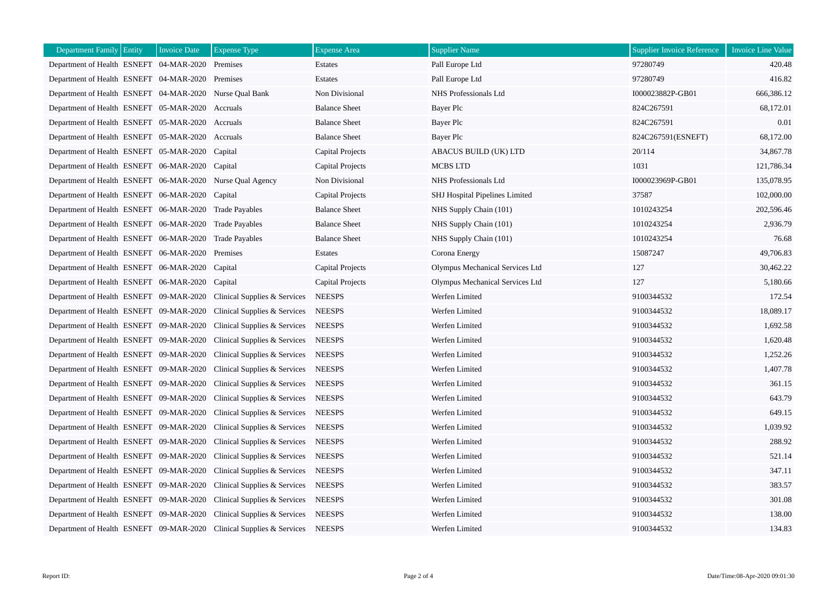| <b>Department Family Entity</b>                           | <b>Invoice Date</b> | <b>Expense Type</b>                                                  | <b>Expense</b> Area     | <b>Supplier Name</b>            | <b>Supplier Invoice Reference</b> | <b>Invoice Line Value</b> |
|-----------------------------------------------------------|---------------------|----------------------------------------------------------------------|-------------------------|---------------------------------|-----------------------------------|---------------------------|
| Department of Health ESNEFT 04-MAR-2020 Premises          |                     |                                                                      | Estates                 | Pall Europe Ltd                 | 97280749                          | 420.48                    |
| Department of Health ESNEFT 04-MAR-2020 Premises          |                     |                                                                      | Estates                 | Pall Europe Ltd                 | 97280749                          | 416.82                    |
| Department of Health ESNEFT 04-MAR-2020 Nurse Qual Bank   |                     |                                                                      | Non Divisional          | NHS Professionals Ltd           | I000023882P-GB01                  | 666,386.12                |
| Department of Health ESNEFT 05-MAR-2020 Accruals          |                     |                                                                      | <b>Balance Sheet</b>    | Bayer Plc                       | 824C267591                        | 68,172.01                 |
| Department of Health ESNEFT 05-MAR-2020 Accruals          |                     |                                                                      | <b>Balance Sheet</b>    | Bayer Plc                       | 824C267591                        | 0.01                      |
| Department of Health ESNEFT 05-MAR-2020 Accruals          |                     |                                                                      | <b>Balance Sheet</b>    | Bayer Plc                       | 824C267591(ESNEFT)                | 68,172.00                 |
| Department of Health ESNEFT 05-MAR-2020 Capital           |                     |                                                                      | Capital Projects        | ABACUS BUILD (UK) LTD           | 20/114                            | 34,867.78                 |
| Department of Health ESNEFT 06-MAR-2020                   |                     | Capital                                                              | Capital Projects        | <b>MCBS LTD</b>                 | 1031                              | 121,786.34                |
| Department of Health ESNEFT 06-MAR-2020 Nurse Qual Agency |                     |                                                                      | Non Divisional          | NHS Professionals Ltd           | I000023969P-GB01                  | 135,078.95                |
| Department of Health ESNEFT 06-MAR-2020 Capital           |                     |                                                                      | <b>Capital Projects</b> | SHJ Hospital Pipelines Limited  | 37587                             | 102,000.00                |
| Department of Health ESNEFT 06-MAR-2020 Trade Payables    |                     |                                                                      | <b>Balance Sheet</b>    | NHS Supply Chain (101)          | 1010243254                        | 202,596.46                |
| Department of Health ESNEFT 06-MAR-2020 Trade Payables    |                     |                                                                      | <b>Balance Sheet</b>    | NHS Supply Chain (101)          | 1010243254                        | 2,936.79                  |
| Department of Health ESNEFT 06-MAR-2020 Trade Payables    |                     |                                                                      | <b>Balance Sheet</b>    | NHS Supply Chain (101)          | 1010243254                        | 76.68                     |
| Department of Health ESNEFT 06-MAR-2020                   |                     | Premises                                                             | Estates                 | Corona Energy                   | 15087247                          | 49,706.83                 |
| Department of Health ESNEFT 06-MAR-2020                   |                     | Capital                                                              | Capital Projects        | Olympus Mechanical Services Ltd | 127                               | 30,462.22                 |
| Department of Health ESNEFT 06-MAR-2020 Capital           |                     |                                                                      | Capital Projects        | Olympus Mechanical Services Ltd | 127                               | 5,180.66                  |
| Department of Health ESNEFT 09-MAR-2020                   |                     | Clinical Supplies & Services                                         | <b>NEESPS</b>           | Werfen Limited                  | 9100344532                        | 172.54                    |
| Department of Health ESNEFT 09-MAR-2020                   |                     | Clinical Supplies & Services                                         | <b>NEESPS</b>           | Werfen Limited                  | 9100344532                        | 18,089.17                 |
| Department of Health ESNEFT 09-MAR-2020                   |                     | Clinical Supplies & Services                                         | <b>NEESPS</b>           | Werfen Limited                  | 9100344532                        | 1,692.58                  |
| Department of Health ESNEFT 09-MAR-2020                   |                     | Clinical Supplies & Services                                         | <b>NEESPS</b>           | Werfen Limited                  | 9100344532                        | 1,620.48                  |
| Department of Health ESNEFT 09-MAR-2020                   |                     | Clinical Supplies & Services                                         | <b>NEESPS</b>           | Werfen Limited                  | 9100344532                        | 1,252.26                  |
| Department of Health ESNEFT 09-MAR-2020                   |                     | Clinical Supplies & Services                                         | <b>NEESPS</b>           | Werfen Limited                  | 9100344532                        | 1,407.78                  |
| Department of Health ESNEFT 09-MAR-2020                   |                     | Clinical Supplies & Services                                         | <b>NEESPS</b>           | Werfen Limited                  | 9100344532                        | 361.15                    |
| Department of Health ESNEFT 09-MAR-2020                   |                     | Clinical Supplies & Services                                         | <b>NEESPS</b>           | Werfen Limited                  | 9100344532                        | 643.79                    |
| Department of Health ESNEFT 09-MAR-2020                   |                     | Clinical Supplies & Services                                         | <b>NEESPS</b>           | Werfen Limited                  | 9100344532                        | 649.15                    |
| Department of Health ESNEFT 09-MAR-2020                   |                     | Clinical Supplies & Services                                         | <b>NEESPS</b>           | Werfen Limited                  | 9100344532                        | 1,039.92                  |
| Department of Health ESNEFT 09-MAR-2020                   |                     | Clinical Supplies & Services                                         | <b>NEESPS</b>           | Werfen Limited                  | 9100344532                        | 288.92                    |
| Department of Health ESNEFT 09-MAR-2020                   |                     | Clinical Supplies & Services                                         | <b>NEESPS</b>           | Werfen Limited                  | 9100344532                        | 521.14                    |
| Department of Health ESNEFT 09-MAR-2020                   |                     | Clinical Supplies & Services                                         | <b>NEESPS</b>           | Werfen Limited                  | 9100344532                        | 347.11                    |
| Department of Health ESNEFT 09-MAR-2020                   |                     | Clinical Supplies & Services                                         | <b>NEESPS</b>           | Werfen Limited                  | 9100344532                        | 383.57                    |
| Department of Health ESNEFT 09-MAR-2020                   |                     | Clinical Supplies & Services                                         | <b>NEESPS</b>           | Werfen Limited                  | 9100344532                        | 301.08                    |
| Department of Health ESNEFT 09-MAR-2020                   |                     | Clinical Supplies & Services                                         | <b>NEESPS</b>           | Werfen Limited                  | 9100344532                        | 138.00                    |
|                                                           |                     | Department of Health ESNEFT 09-MAR-2020 Clinical Supplies & Services | <b>NEESPS</b>           | Werfen Limited                  | 9100344532                        | 134.83                    |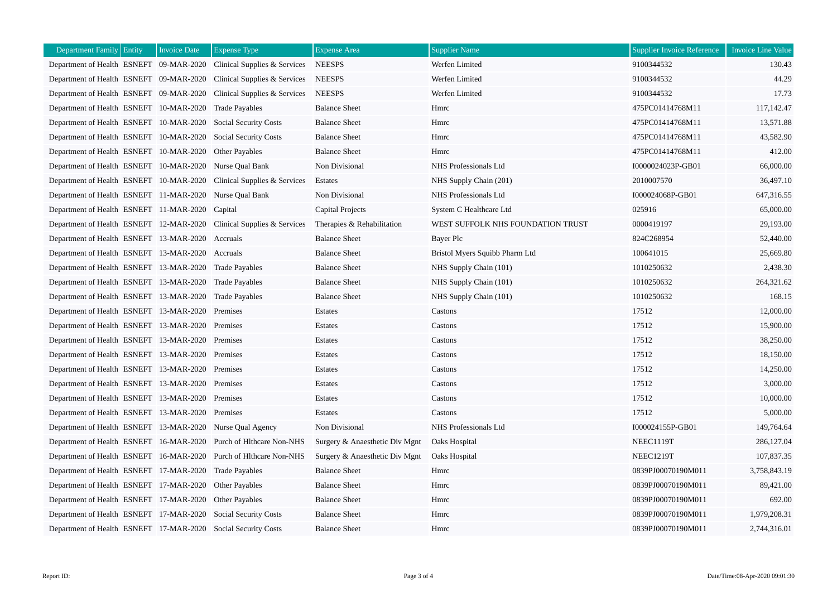| <b>Department Family Entity</b>                               | <b>Invoice Date</b> | <b>Expense Type</b>                                                  | <b>Expense Area</b>            | <b>Supplier Name</b>              | <b>Supplier Invoice Reference</b> | <b>Invoice Line Value</b> |
|---------------------------------------------------------------|---------------------|----------------------------------------------------------------------|--------------------------------|-----------------------------------|-----------------------------------|---------------------------|
|                                                               |                     | Department of Health ESNEFT 09-MAR-2020 Clinical Supplies & Services | <b>NEESPS</b>                  | Werfen Limited                    | 9100344532                        | 130.43                    |
|                                                               |                     | Department of Health ESNEFT 09-MAR-2020 Clinical Supplies & Services | <b>NEESPS</b>                  | Werfen Limited                    | 9100344532                        | 44.29                     |
| Department of Health ESNEFT 09-MAR-2020                       |                     | Clinical Supplies & Services                                         | <b>NEESPS</b>                  | Werfen Limited                    | 9100344532                        | 17.73                     |
| Department of Health ESNEFT 10-MAR-2020                       |                     | <b>Trade Payables</b>                                                | <b>Balance Sheet</b>           | Hmrc                              | 475PC01414768M11                  | 117,142.47                |
| Department of Health ESNEFT 10-MAR-2020 Social Security Costs |                     |                                                                      | <b>Balance Sheet</b>           | Hmrc                              | 475PC01414768M11                  | 13,571.88                 |
| Department of Health ESNEFT 10-MAR-2020 Social Security Costs |                     |                                                                      | <b>Balance Sheet</b>           | Hmrc                              | 475PC01414768M11                  | 43,582.90                 |
| Department of Health ESNEFT 10-MAR-2020 Other Payables        |                     |                                                                      | <b>Balance Sheet</b>           | Hmrc                              | 475PC01414768M11                  | 412.00                    |
| Department of Health ESNEFT 10-MAR-2020 Nurse Qual Bank       |                     |                                                                      | Non Divisional                 | NHS Professionals Ltd             | I0000024023P-GB01                 | 66,000.00                 |
|                                                               |                     | Department of Health ESNEFT 10-MAR-2020 Clinical Supplies & Services | Estates                        | NHS Supply Chain (201)            | 2010007570                        | 36,497.10                 |
| Department of Health ESNEFT 11-MAR-2020 Nurse Qual Bank       |                     |                                                                      | Non Divisional                 | NHS Professionals Ltd             | I000024068P-GB01                  | 647,316.55                |
| Department of Health ESNEFT 11-MAR-2020 Capital               |                     |                                                                      | Capital Projects               | System C Healthcare Ltd           | 025916                            | 65,000.00                 |
|                                                               |                     | Department of Health ESNEFT 12-MAR-2020 Clinical Supplies & Services | Therapies & Rehabilitation     | WEST SUFFOLK NHS FOUNDATION TRUST | 0000419197                        | 29,193.00                 |
| Department of Health ESNEFT 13-MAR-2020 Accruals              |                     |                                                                      | <b>Balance Sheet</b>           | Bayer Plc                         | 824C268954                        | 52,440.00                 |
| Department of Health ESNEFT 13-MAR-2020 Accruals              |                     |                                                                      | <b>Balance Sheet</b>           | Bristol Myers Squibb Pharm Ltd    | 100641015                         | 25,669.80                 |
| Department of Health ESNEFT 13-MAR-2020 Trade Payables        |                     |                                                                      | <b>Balance Sheet</b>           | NHS Supply Chain (101)            | 1010250632                        | 2,438.30                  |
| Department of Health ESNEFT 13-MAR-2020 Trade Payables        |                     |                                                                      | <b>Balance Sheet</b>           | NHS Supply Chain (101)            | 1010250632                        | 264.321.62                |
| Department of Health ESNEFT 13-MAR-2020 Trade Payables        |                     |                                                                      | <b>Balance Sheet</b>           | NHS Supply Chain (101)            | 1010250632                        | 168.15                    |
| Department of Health ESNEFT 13-MAR-2020 Premises              |                     |                                                                      | Estates                        | Castons                           | 17512                             | 12,000.00                 |
| Department of Health ESNEFT 13-MAR-2020 Premises              |                     |                                                                      | Estates                        | Castons                           | 17512                             | 15,900.00                 |
| Department of Health ESNEFT 13-MAR-2020 Premises              |                     |                                                                      | Estates                        | Castons                           | 17512                             | 38,250.00                 |
| Department of Health ESNEFT 13-MAR-2020 Premises              |                     |                                                                      | Estates                        | Castons                           | 17512                             | 18,150.00                 |
| Department of Health ESNEFT 13-MAR-2020 Premises              |                     |                                                                      | Estates                        | Castons                           | 17512                             | 14,250.00                 |
| Department of Health ESNEFT 13-MAR-2020 Premises              |                     |                                                                      | Estates                        | Castons                           | 17512                             | 3,000.00                  |
| Department of Health ESNEFT 13-MAR-2020 Premises              |                     |                                                                      | Estates                        | Castons                           | 17512                             | 10,000.00                 |
| Department of Health ESNEFT 13-MAR-2020 Premises              |                     |                                                                      | Estates                        | Castons                           | 17512                             | 5,000.00                  |
| Department of Health ESNEFT 13-MAR-2020 Nurse Qual Agency     |                     |                                                                      | Non Divisional                 | NHS Professionals Ltd             | I000024155P-GB01                  | 149,764.64                |
|                                                               |                     | Department of Health ESNEFT 16-MAR-2020 Purch of Hithcare Non-NHS    | Surgery & Anaesthetic Div Mgnt | Oaks Hospital                     | NEEC1119T                         | 286,127.04                |
|                                                               |                     | Department of Health ESNEFT 16-MAR-2020 Purch of Hithcare Non-NHS    | Surgery & Anaesthetic Div Mgnt | Oaks Hospital                     | NEEC1219T                         | 107,837.35                |
| Department of Health ESNEFT 17-MAR-2020 Trade Payables        |                     |                                                                      | <b>Balance Sheet</b>           | Hmrc                              | 0839PJ00070190M011                | 3,758,843.19              |
| Department of Health ESNEFT 17-MAR-2020 Other Payables        |                     |                                                                      | <b>Balance Sheet</b>           | Hmrc                              | 0839PJ00070190M011                | 89,421.00                 |
| Department of Health ESNEFT 17-MAR-2020 Other Payables        |                     |                                                                      | <b>Balance Sheet</b>           | Hmrc                              | 0839PJ00070190M011                | 692.00                    |
|                                                               |                     | Department of Health ESNEFT 17-MAR-2020 Social Security Costs        | <b>Balance Sheet</b>           | Hmrc                              | 0839PJ00070190M011                | 1,979,208.31              |
|                                                               |                     | Department of Health ESNEFT 17-MAR-2020 Social Security Costs        | <b>Balance Sheet</b>           | Hmrc                              | 0839PJ00070190M011                | 2,744,316.01              |